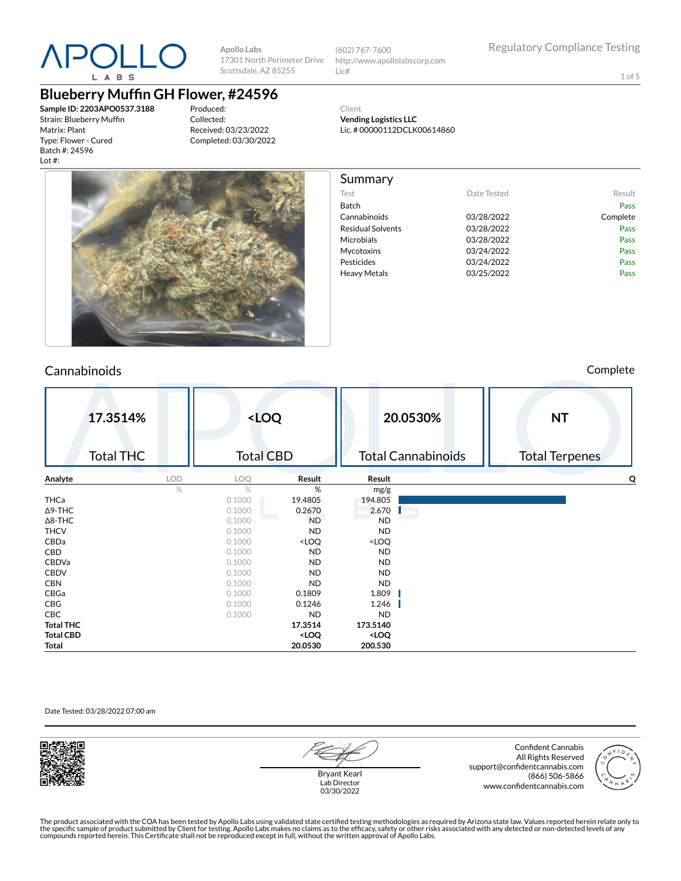

(602) 767-7600 http://www.apollolabscorp.com Lic#

1 of 5

**Blueberry Muffin GH Flower, #24596** 

**Sample ID: 2203APO0537.3188** Strain: Blueberry Muffin Matrix: Plant Type: Flower - Cured Batch #: 24596 Lot #:

Produced: Collected: Received: 03/23/2022 Completed: 03/30/2022





#### Summary Test **Date Tested** Result Batch Pass Cannabinoids 03/28/2022 Complete Residual Solvents **03/28/2022** Pass Microbials 03/28/2022 Pass Mycotoxins 03/24/2022 Pass Pesticides **Pesticides Pass** Heavy Metals **D3/25/2022** Pass

Cannabinoids Complete

|                  | 17.3514%<br><b>Total THC</b> |            | <loq<br><b>Total CBD</b></loq<br> |                                                                   |                                       | 20.0530%<br><b>Total Cannabinoids</b> | <b>NT</b><br><b>Total Terpenes</b> |
|------------------|------------------------------|------------|-----------------------------------|-------------------------------------------------------------------|---------------------------------------|---------------------------------------|------------------------------------|
| Analyte          |                              | <b>LOD</b> | LOQ                               | Result                                                            | Result                                |                                       | Q                                  |
|                  |                              | %          | $\%$                              | %                                                                 | mg/g                                  |                                       |                                    |
| THCa             |                              |            | 0.1000                            | 19.4805                                                           | 194.805                               |                                       |                                    |
| $\Delta$ 9-THC   |                              |            | 0.1000                            | 0.2670                                                            | 2.670                                 |                                       |                                    |
| $\Delta$ 8-THC   |                              |            | 0.1000                            | <b>ND</b>                                                         | <b>ND</b>                             |                                       |                                    |
| <b>THCV</b>      |                              |            | 0.1000                            | <b>ND</b>                                                         | <b>ND</b>                             |                                       |                                    |
| CBDa             |                              |            | 0.1000                            | <loq< th=""><th><loq< th=""><th></th><th></th></loq<></th></loq<> | <loq< th=""><th></th><th></th></loq<> |                                       |                                    |
| CBD              |                              |            | 0.1000                            | <b>ND</b>                                                         | <b>ND</b>                             |                                       |                                    |
| CBDVa            |                              |            | 0.1000                            | <b>ND</b>                                                         | <b>ND</b>                             |                                       |                                    |
| <b>CBDV</b>      |                              |            | 0.1000                            | <b>ND</b>                                                         | <b>ND</b>                             |                                       |                                    |
| <b>CBN</b>       |                              |            | 0.1000                            | <b>ND</b>                                                         | <b>ND</b>                             |                                       |                                    |
| CBGa             |                              |            | 0.1000                            | 0.1809                                                            | 1.809                                 |                                       |                                    |
| CBG              |                              |            | 0.1000                            | 0.1246                                                            | 1.246                                 |                                       |                                    |
| CBC              |                              |            | 0.1000                            | <b>ND</b>                                                         | <b>ND</b>                             |                                       |                                    |
| <b>Total THC</b> |                              |            |                                   | 17.3514                                                           | 173.5140                              |                                       |                                    |
| <b>Total CBD</b> |                              |            |                                   | <loq< th=""><th><loq< th=""><th></th><th></th></loq<></th></loq<> | <loq< th=""><th></th><th></th></loq<> |                                       |                                    |
| Total            |                              |            |                                   | 20.0530                                                           | 200.530                               |                                       |                                    |

#### Date Tested: 03/28/2022 07:00 am



Bryant Kearl Lab Director 03/30/2022

Confident Cannabis All Rights Reserved support@confidentcannabis.com (866) 506-5866 www.confidentcannabis.com

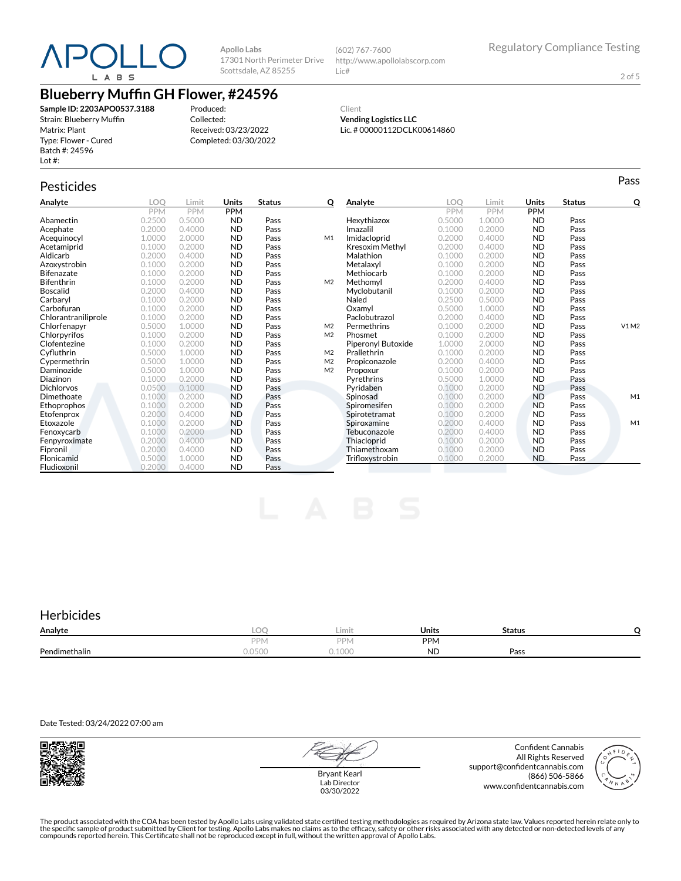

(602) 767-7600 http://www.apollolabscorp.com Lic#

2 of 5

# **Blueberry Muffin GH Flower, #24596**

**Sample ID: 2203APO0537.3188** Strain: Blueberry Muffin Matrix: Plant Type: Flower - Cured Batch #: 24596 Lot #:

Produced: Collected: Received: 03/23/2022 Completed: 03/30/2022

Client **Vending Logistics LLC** Lic. # 00000112DCLK00614860

# Pesticides **Passage of the Contract of Contract Contract of Contract Contract Contract Contract Contract Contract Contract Contract Contract Contract Contract Contract Contract Contract Contract Contract Contract Contract**

| Analyte             | LOO        | Limit      | <b>Units</b> | <b>Status</b> | о              | Analyte                   | .OO        | Limit      | Units      | <b>Status</b> | Q     |
|---------------------|------------|------------|--------------|---------------|----------------|---------------------------|------------|------------|------------|---------------|-------|
|                     | <b>PPM</b> | <b>PPM</b> | <b>PPM</b>   |               |                |                           | <b>PPM</b> | <b>PPM</b> | <b>PPM</b> |               |       |
| Abamectin           | 0.2500     | 0.5000     | <b>ND</b>    | Pass          |                | Hexythiazox               | 0.5000     | 1.0000     | <b>ND</b>  | Pass          |       |
| Acephate            | 0.2000     | 0.4000     | <b>ND</b>    | Pass          |                | Imazalil                  | 0.1000     | 0.2000     | <b>ND</b>  | Pass          |       |
| Acequinocyl         | 1.0000     | 2.0000     | <b>ND</b>    | Pass          | M1             | Imidacloprid              | 0.2000     | 0.4000     | <b>ND</b>  | Pass          |       |
| Acetamiprid         | 0.1000     | 0.2000     | <b>ND</b>    | Pass          |                | Kresoxim Methyl           | 0.2000     | 0.4000     | <b>ND</b>  | Pass          |       |
| Aldicarb            | 0.2000     | 0.4000     | <b>ND</b>    | Pass          |                | Malathion                 | 0.1000     | 0.2000     | <b>ND</b>  | Pass          |       |
| Azoxystrobin        | 0.1000     | 0.2000     | <b>ND</b>    | Pass          |                | Metalaxvl                 | 0.1000     | 0.2000     | <b>ND</b>  | Pass          |       |
| <b>Bifenazate</b>   | 0.1000     | 0.2000     | <b>ND</b>    | Pass          |                | Methiocarb                | 0.1000     | 0.2000     | <b>ND</b>  | Pass          |       |
| Bifenthrin          | 0.1000     | 0.2000     | <b>ND</b>    | Pass          | M <sub>2</sub> | Methomyl                  | 0.2000     | 0.4000     | <b>ND</b>  | Pass          |       |
| <b>Boscalid</b>     | 0.2000     | 0.4000     | <b>ND</b>    | Pass          |                | Myclobutanil              | 0.1000     | 0.2000     | <b>ND</b>  | Pass          |       |
| Carbarvl            | 0.1000     | 0.2000     | <b>ND</b>    | Pass          |                | Naled                     | 0.2500     | 0.5000     | <b>ND</b>  | Pass          |       |
| Carbofuran          | 0.1000     | 0.2000     | <b>ND</b>    | Pass          |                | Oxamyl                    | 0.5000     | 1.0000     | <b>ND</b>  | Pass          |       |
| Chlorantraniliprole | 0.1000     | 0.2000     | <b>ND</b>    | Pass          |                | Paclobutrazol             | 0.2000     | 0.4000     | <b>ND</b>  | Pass          |       |
| Chlorfenapyr        | 0.5000     | 1.0000     | <b>ND</b>    | Pass          | M <sub>2</sub> | Permethrins               | 0.1000     | 0.2000     | <b>ND</b>  | Pass          | V1 M2 |
| Chlorpyrifos        | 0.1000     | 0.2000     | <b>ND</b>    | Pass          | M <sub>2</sub> | Phosmet                   | 0.1000     | 0.2000     | <b>ND</b>  | Pass          |       |
| Clofentezine        | 0.1000     | 0.2000     | <b>ND</b>    | Pass          |                | <b>Piperonyl Butoxide</b> | 1.0000     | 2.0000     | <b>ND</b>  | Pass          |       |
| Cyfluthrin          | 0.5000     | 1.0000     | <b>ND</b>    | Pass          | M <sub>2</sub> | Prallethrin               | 0.1000     | 0.2000     | <b>ND</b>  | Pass          |       |
| Cypermethrin        | 0.5000     | 1.0000     | <b>ND</b>    | Pass          | M <sub>2</sub> | Propiconazole             | 0.2000     | 0.4000     | <b>ND</b>  | Pass          |       |
| Daminozide          | 0.5000     | 1.0000     | <b>ND</b>    | Pass          | M <sub>2</sub> | Propoxur                  | 0.1000     | 0.2000     | <b>ND</b>  | Pass          |       |
| Diazinon            | 0.1000     | 0.2000     | <b>ND</b>    | Pass          |                | Pyrethrins                | 0.5000     | 1.0000     | <b>ND</b>  | Pass          |       |
| <b>Dichlorvos</b>   | 0.0500     | 0.1000     | <b>ND</b>    | Pass          |                | Pyridaben                 | 0.1000     | 0.2000     | <b>ND</b>  | Pass          |       |
| Dimethoate          | 0.1000     | 0.2000     | <b>ND</b>    | Pass          |                | Spinosad                  | 0.1000     | 0.2000     | <b>ND</b>  | Pass          | M1    |
| Ethoprophos         | 0.1000     | 0.2000     | <b>ND</b>    | Pass          |                | Spiromesifen              | 0.1000     | 0.2000     | <b>ND</b>  | Pass          |       |
| Etofenprox          | 0.2000     | 0.4000     | <b>ND</b>    | Pass          |                | Spirotetramat             | 0.1000     | 0.2000     | <b>ND</b>  | Pass          |       |
| Etoxazole           | 0.1000     | 0.2000     | <b>ND</b>    | Pass          |                | Spiroxamine               | 0.2000     | 0.4000     | <b>ND</b>  | Pass          | M1    |
| Fenoxycarb          | 0.1000     | 0.2000     | <b>ND</b>    | Pass          |                | Tebuconazole              | 0.2000     | 0.4000     | <b>ND</b>  | Pass          |       |
| Fenpyroximate       | 0.2000     | 0.4000     | <b>ND</b>    | Pass          |                | Thiacloprid               | 0.1000     | 0.2000     | <b>ND</b>  | Pass          |       |
| Fipronil            | 0.2000     | 0.4000     | <b>ND</b>    | Pass          |                | Thiamethoxam              | 0.1000     | 0.2000     | <b>ND</b>  | Pass          |       |
| Flonicamid          | 0.5000     | 1.0000     | <b>ND</b>    | Pass          |                | Trifloxystrobin           | 0.1000     | 0.2000     | <b>ND</b>  | Pass          |       |
| Fludioxonil         | 0.2000     | 0.4000     | <b>ND</b>    | Pass          |                |                           |            |            |            |               |       |

## **Herbicides**

| Analyte       | $\sim$<br>LV.                | Limit                     | Units                   | <b>Status</b> |  |
|---------------|------------------------------|---------------------------|-------------------------|---------------|--|
|               | <b>DDN</b><br>- I V          | DDN                       | <b>PPM</b>              |               |  |
| Pendimethalin | $-\cap$<br>1 0 5 1<br>u.ujuu | $A \cap \cap C$<br>U.IUUU | N <sub>II</sub><br>17 L | Pass          |  |

Date Tested: 03/24/2022 07:00 am



Bryant Kearl Lab Director 03/30/2022

Confident Cannabis All Rights Reserved support@confidentcannabis.com (866) 506-5866 www.confidentcannabis.com

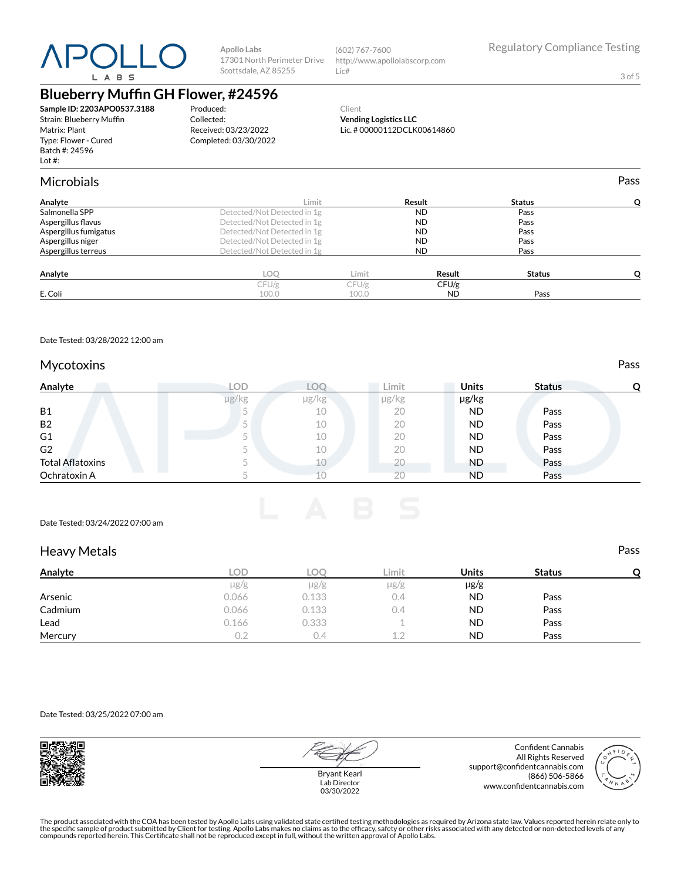

(602) 767-7600 http://www.apollolabscorp.com Lic#

3 of 5

# **Blueberry Muffin GH Flower, #24596**

**Sample ID: 2203APO0537.3188** Strain: Blueberry Muffin Matrix: Plant Type: Flower - Cured Batch #: 24596 Lot #:

Produced: Collected: Received: 03/23/2022 Completed: 03/30/2022

#### Client **Vending Logistics LLC** Lic. # 00000112DCLK00614860

Microbials Pass **Analyte Limit Result Status Q** Salmonella SPP Detected/Not Detected in 1g ND Pass Aspergillus flavus **Pass**<br>
Aspergillus fumigatus **Pass**<br> **Aspergillus fumigatus Community Constant Detected/Not Detected in 1g Community Ress Pass Aspergillus fumigatus**<br> **Aspergillus niger**<br> **Aspergillus niger**<br> **Detected/Not Detected in 1g** Aspergillus ninger<br>
Aspergillus niger and the Detected/Not Detected in 1g<br>
Aspergillus terreus pass<br>
Detected/Not Detected in 1g ND Pass Detected/Not Detected in 1g

| Analyte | LOC   | Limit | Result    | <b>Status</b> | - |
|---------|-------|-------|-----------|---------------|---|
|         | CFU/g | CFU/g | CFU/g     |               |   |
| E. Coli | 100.0 | 100.0 | <b>ND</b> | Pass          |   |
|         |       |       |           |               |   |

Date Tested: 03/28/2022 12:00 am

### Mycotoxins **Pass**

| Analyte                 | LOD   |            | ∟imit      | <b>Units</b> | <b>Status</b> | O |
|-------------------------|-------|------------|------------|--------------|---------------|---|
|                         | µg/kg | $\mu$ g/kg | $\mu$ g/kg | µg/kg        |               |   |
| <b>B1</b>               |       | 10         | 20         | <b>ND</b>    | Pass          |   |
| <b>B2</b>               |       | 10         | 20         | <b>ND</b>    | Pass          |   |
| G <sub>1</sub>          |       | 10         | 20         | <b>ND</b>    | Pass          |   |
| G <sub>2</sub>          |       | 10         | 20         | <b>ND</b>    | Pass          |   |
| <b>Total Aflatoxins</b> |       |            | 20         | <b>ND</b>    | Pass          |   |
| Ochratoxin A            |       | 上口         | 20         | <b>ND</b>    | Pass          |   |

#### Date Tested: 03/24/2022 07:00 am

### Heavy Metals Pass

| . .<br>Analyte | LOD       | LOC      | Limit     | Units     | <b>Status</b> | C |
|----------------|-----------|----------|-----------|-----------|---------------|---|
|                | $\mu$ g/g | µg/g     | $\mu$ g/g | $\mu$ g/g |               |   |
| Arsenic        | 0.066     | 0.133    | 0.4       | <b>ND</b> | Pass          |   |
| Cadmium        | 0.066     | 0.133    | 0.4       | <b>ND</b> | Pass          |   |
| Lead           | 0.166     | 0.333    |           | <b>ND</b> | Pass          |   |
| Mercury        |           | $\Delta$ | 1 2       | <b>ND</b> | Pass          |   |

Date Tested: 03/25/2022 07:00 am



Bryant Kearl Lab Director 03/30/2022

Confident Cannabis All Rights Reserved support@confidentcannabis.com (866) 506-5866 www.confidentcannabis.com

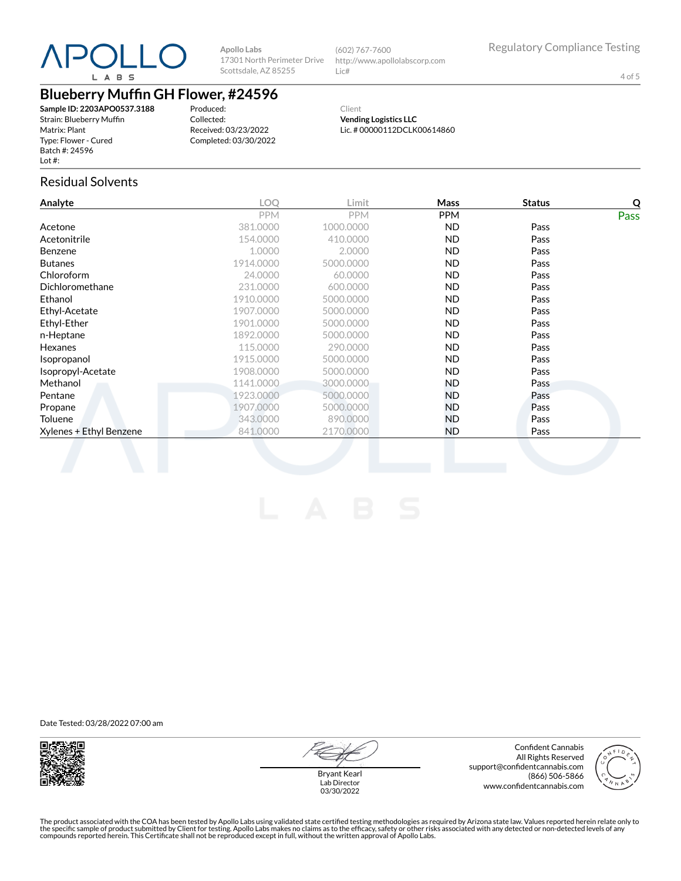

(602) 767-7600 http://www.apollolabscorp.com Lic#

4 of 5

# **Blueberry Muffin GH Flower, #24596**

**Sample ID: 2203APO0537.3188** Strain: Blueberry Muffin Matrix: Plant Type: Flower - Cured Batch #: 24596 Lot #:

Produced: Collected: Received: 03/23/2022 Completed: 03/30/2022

Client **Vending Logistics LLC** Lic. # 00000112DCLK00614860

### Residual Solvents

| Analyte                 | <b>LOO</b> | Limit      | Mass       | <b>Status</b> | Q    |
|-------------------------|------------|------------|------------|---------------|------|
|                         | <b>PPM</b> | <b>PPM</b> | <b>PPM</b> |               | Pass |
| Acetone                 | 381.0000   | 1000.0000  | ND.        | Pass          |      |
| Acetonitrile            | 154.0000   | 410.0000   | ND.        | Pass          |      |
| <b>Benzene</b>          | 1.0000     | 2.0000     | ND.        | Pass          |      |
| <b>Butanes</b>          | 1914.0000  | 5000.0000  | ND.        | Pass          |      |
| Chloroform              | 24.0000    | 60.0000    | ND.        | Pass          |      |
| Dichloromethane         | 231.0000   | 600.0000   | <b>ND</b>  | Pass          |      |
| Ethanol                 | 1910.0000  | 5000.0000  | ND.        | Pass          |      |
| Ethyl-Acetate           | 1907.0000  | 5000.0000  | ND.        | Pass          |      |
| Ethyl-Ether             | 1901.0000  | 5000.0000  | ND.        | Pass          |      |
| n-Heptane               | 1892.0000  | 5000.0000  | ND.        | Pass          |      |
| Hexanes                 | 115.0000   | 290,0000   | ND.        | Pass          |      |
| Isopropanol             | 1915.0000  | 5000.0000  | ND.        | Pass          |      |
| Isopropyl-Acetate       | 1908.0000  | 5000.0000  | ND.        | Pass          |      |
| Methanol                | 1141.0000  | 3000.0000  | ND.        | Pass          |      |
| Pentane                 | 1923.0000  | 5000.0000  | ND.        | Pass          |      |
| Propane                 | 1907.0000  | 5000.0000  | ND.        | Pass          |      |
| Toluene                 | 343,0000   | 890,0000   | ND.        | Pass          |      |
| Xylenes + Ethyl Benzene | 841.0000   | 2170,0000  | ND.        | Pass          |      |
|                         |            |            |            |               |      |

Date Tested: 03/28/2022 07:00 am



Lab Director 03/30/2022

Confident Cannabis All Rights Reserved support@confidentcannabis.com (866) 506-5866 www.confidentcannabis.com



Bryant Kearl